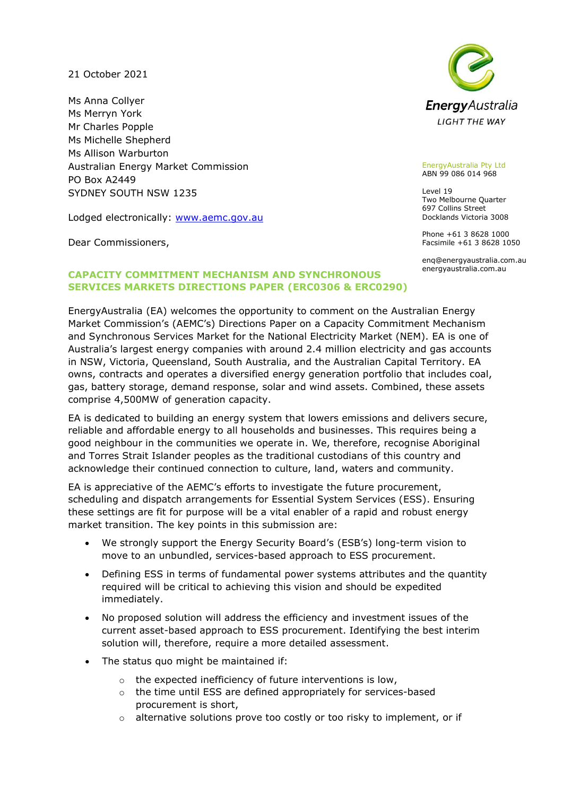21 October 2021

Ms Anna Collyer Ms Merryn York Mr Charles Popple Ms Michelle Shepherd Ms Allison Warburton Australian Energy Market Commission PO Box A2449 SYDNEY SOUTH NSW 1235

Lodged electronically: [www.aemc.gov.au](http://www.aemc.gov.au/)

Dear Commissioners,



#### EnergyAustralia Pty Ltd ABN 99 086 014 968

Level 19 Two Melbourne Quarter 697 Collins Street Docklands Victoria 3008

Phone +61 3 8628 1000 Facsimile +61 3 8628 1050

enq@energyaustralia.com.au energyaustralia.com.au

## **CAPACITY COMMITMENT MECHANISM AND SYNCHRONOUS SERVICES MARKETS DIRECTIONS PAPER (ERC0306 & ERC0290)**

EnergyAustralia (EA) welcomes the opportunity to comment on the Australian Energy Market Commission's (AEMC's) Directions Paper on a Capacity Commitment Mechanism and Synchronous Services Market for the National Electricity Market (NEM). EA is one of Australia's largest energy companies with around 2.4 million electricity and gas accounts in NSW, Victoria, Queensland, South Australia, and the Australian Capital Territory. EA owns, contracts and operates a diversified energy generation portfolio that includes coal, gas, battery storage, demand response, solar and wind assets. Combined, these assets comprise 4,500MW of generation capacity.

EA is dedicated to building an energy system that lowers emissions and delivers secure, reliable and affordable energy to all households and businesses. This requires being a good neighbour in the communities we operate in. We, therefore, recognise Aboriginal and Torres Strait Islander peoples as the traditional custodians of this country and acknowledge their continued connection to culture, land, waters and community.

EA is appreciative of the AEMC's efforts to investigate the future procurement, scheduling and dispatch arrangements for Essential System Services (ESS). Ensuring these settings are fit for purpose will be a vital enabler of a rapid and robust energy market transition. The key points in this submission are:

- We strongly support the Energy Security Board's (ESB's) long-term vision to move to an unbundled, services-based approach to ESS procurement.
- Defining ESS in terms of fundamental power systems attributes and the quantity required will be critical to achieving this vision and should be expedited immediately.
- No proposed solution will address the efficiency and investment issues of the current asset-based approach to ESS procurement. Identifying the best interim solution will, therefore, require a more detailed assessment.
- The status quo might be maintained if:
	- o the expected inefficiency of future interventions is low,
	- o the time until ESS are defined appropriately for services-based procurement is short,
	- o alternative solutions prove too costly or too risky to implement, or if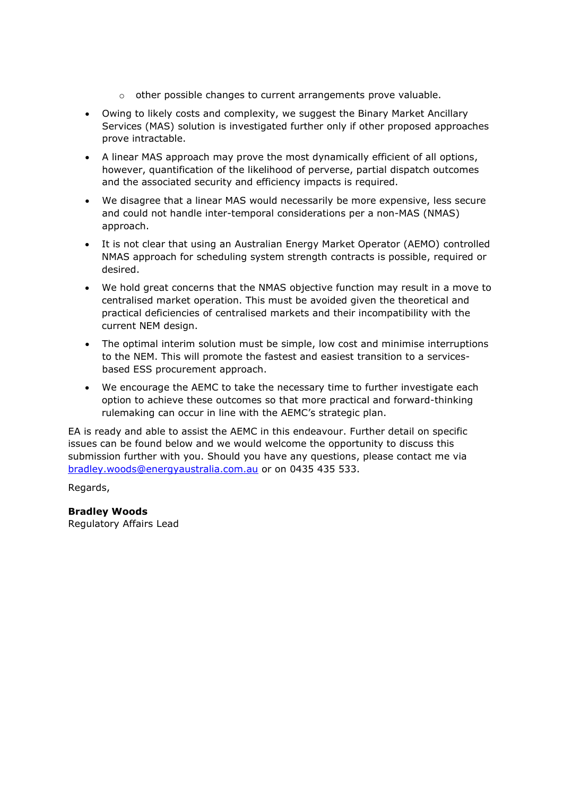- $\circ$  other possible changes to current arrangements prove valuable.
- Owing to likely costs and complexity, we suggest the Binary Market Ancillary Services (MAS) solution is investigated further only if other proposed approaches prove intractable.
- A linear MAS approach may prove the most dynamically efficient of all options, however, quantification of the likelihood of perverse, partial dispatch outcomes and the associated security and efficiency impacts is required.
- We disagree that a linear MAS would necessarily be more expensive, less secure and could not handle inter-temporal considerations per a non-MAS (NMAS) approach.
- It is not clear that using an Australian Energy Market Operator (AEMO) controlled NMAS approach for scheduling system strength contracts is possible, required or desired.
- We hold great concerns that the NMAS objective function may result in a move to centralised market operation. This must be avoided given the theoretical and practical deficiencies of centralised markets and their incompatibility with the current NEM design.
- The optimal interim solution must be simple, low cost and minimise interruptions to the NEM. This will promote the fastest and easiest transition to a servicesbased ESS procurement approach.
- We encourage the AEMC to take the necessary time to further investigate each option to achieve these outcomes so that more practical and forward-thinking rulemaking can occur in line with the AEMC's strategic plan.

EA is ready and able to assist the AEMC in this endeavour. Further detail on specific issues can be found below and we would welcome the opportunity to discuss this submission further with you. Should you have any questions, please contact me via [bradley.woods@energyaustralia.com.au](mailto:bradley.woods@energyaustralia.com.au) or on 0435 435 533.

Regards,

**Bradley Woods**

Regulatory Affairs Lead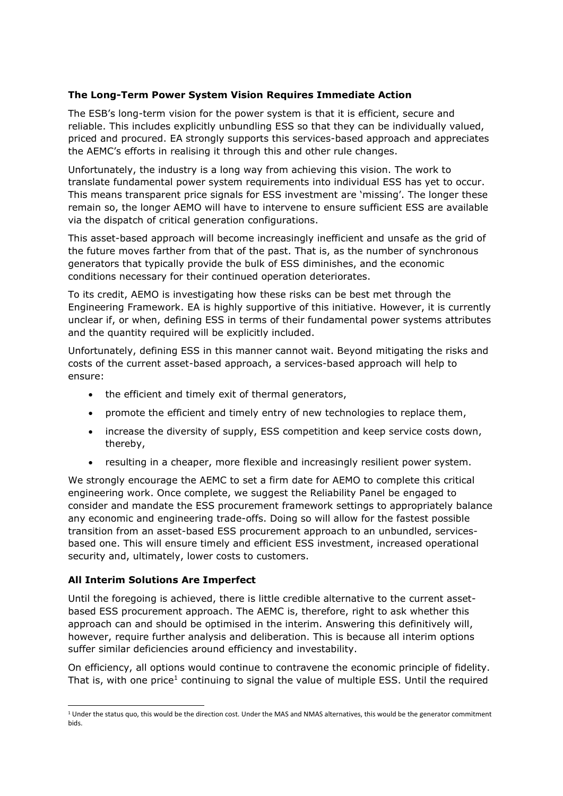### **The Long-Term Power System Vision Requires Immediate Action**

The ESB's long-term vision for the power system is that it is efficient, secure and reliable. This includes explicitly unbundling ESS so that they can be individually valued, priced and procured. EA strongly supports this services-based approach and appreciates the AEMC's efforts in realising it through this and other rule changes.

Unfortunately, the industry is a long way from achieving this vision. The work to translate fundamental power system requirements into individual ESS has yet to occur. This means transparent price signals for ESS investment are 'missing'. The longer these remain so, the longer AEMO will have to intervene to ensure sufficient ESS are available via the dispatch of critical generation configurations.

This asset-based approach will become increasingly inefficient and unsafe as the grid of the future moves farther from that of the past. That is, as the number of synchronous generators that typically provide the bulk of ESS diminishes, and the economic conditions necessary for their continued operation deteriorates.

To its credit, AEMO is investigating how these risks can be best met through the Engineering Framework. EA is highly supportive of this initiative. However, it is currently unclear if, or when, defining ESS in terms of their fundamental power systems attributes and the quantity required will be explicitly included.

Unfortunately, defining ESS in this manner cannot wait. Beyond mitigating the risks and costs of the current asset-based approach, a services-based approach will help to ensure:

- the efficient and timely exit of thermal generators,
- promote the efficient and timely entry of new technologies to replace them,
- increase the diversity of supply, ESS competition and keep service costs down, thereby,
- resulting in a cheaper, more flexible and increasingly resilient power system.

We strongly encourage the AEMC to set a firm date for AEMO to complete this critical engineering work. Once complete, we suggest the Reliability Panel be engaged to consider and mandate the ESS procurement framework settings to appropriately balance any economic and engineering trade-offs. Doing so will allow for the fastest possible transition from an asset-based ESS procurement approach to an unbundled, servicesbased one. This will ensure timely and efficient ESS investment, increased operational security and, ultimately, lower costs to customers.

### **All Interim Solutions Are Imperfect**

Until the foregoing is achieved, there is little credible alternative to the current assetbased ESS procurement approach. The AEMC is, therefore, right to ask whether this approach can and should be optimised in the interim. Answering this definitively will, however, require further analysis and deliberation. This is because all interim options suffer similar deficiencies around efficiency and investability.

On efficiency, all options would continue to contravene the economic principle of fidelity. That is, with one price<sup>1</sup> continuing to signal the value of multiple ESS. Until the required

 $1$  Under the status quo, this would be the direction cost. Under the MAS and NMAS alternatives, this would be the generator commitment bids.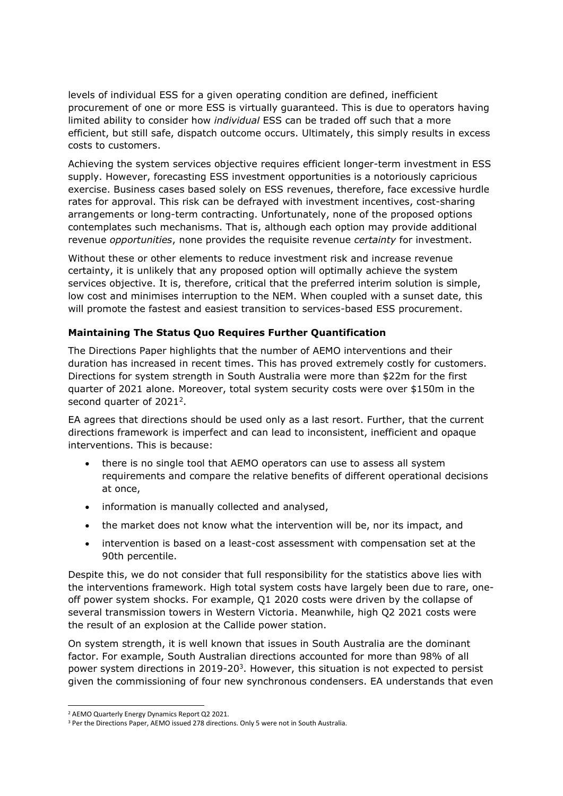levels of individual ESS for a given operating condition are defined, inefficient procurement of one or more ESS is virtually guaranteed. This is due to operators having limited ability to consider how *individual* ESS can be traded off such that a more efficient, but still safe, dispatch outcome occurs. Ultimately, this simply results in excess costs to customers.

Achieving the system services objective requires efficient longer-term investment in ESS supply. However, forecasting ESS investment opportunities is a notoriously capricious exercise. Business cases based solely on ESS revenues, therefore, face excessive hurdle rates for approval. This risk can be defrayed with investment incentives, cost-sharing arrangements or long-term contracting. Unfortunately, none of the proposed options contemplates such mechanisms. That is, although each option may provide additional revenue *opportunities*, none provides the requisite revenue *certainty* for investment.

Without these or other elements to reduce investment risk and increase revenue certainty, it is unlikely that any proposed option will optimally achieve the system services objective. It is, therefore, critical that the preferred interim solution is simple, low cost and minimises interruption to the NEM. When coupled with a sunset date, this will promote the fastest and easiest transition to services-based ESS procurement.

### **Maintaining The Status Quo Requires Further Quantification**

The Directions Paper highlights that the number of AEMO interventions and their duration has increased in recent times. This has proved extremely costly for customers. Directions for system strength in South Australia were more than \$22m for the first quarter of 2021 alone. Moreover, total system security costs were over \$150m in the second quarter of 2021<sup>2</sup>.

EA agrees that directions should be used only as a last resort. Further, that the current directions framework is imperfect and can lead to inconsistent, inefficient and opaque interventions. This is because:

- there is no single tool that AEMO operators can use to assess all system requirements and compare the relative benefits of different operational decisions at once,
- information is manually collected and analysed,
- the market does not know what the intervention will be, nor its impact, and
- intervention is based on a least-cost assessment with compensation set at the 90th percentile.

Despite this, we do not consider that full responsibility for the statistics above lies with the interventions framework. High total system costs have largely been due to rare, oneoff power system shocks. For example, Q1 2020 costs were driven by the collapse of several transmission towers in Western Victoria. Meanwhile, high Q2 2021 costs were the result of an explosion at the Callide power station.

On system strength, it is well known that issues in South Australia are the dominant factor. For example, South Australian directions accounted for more than 98% of all power system directions in 2019-20 $3$ . However, this situation is not expected to persist given the commissioning of four new synchronous condensers. EA understands that even

<sup>2</sup> AEMO Quarterly Energy Dynamics Report Q2 2021.

<sup>&</sup>lt;sup>3</sup> Per the Directions Paper, AEMO issued 278 directions. Only 5 were not in South Australia.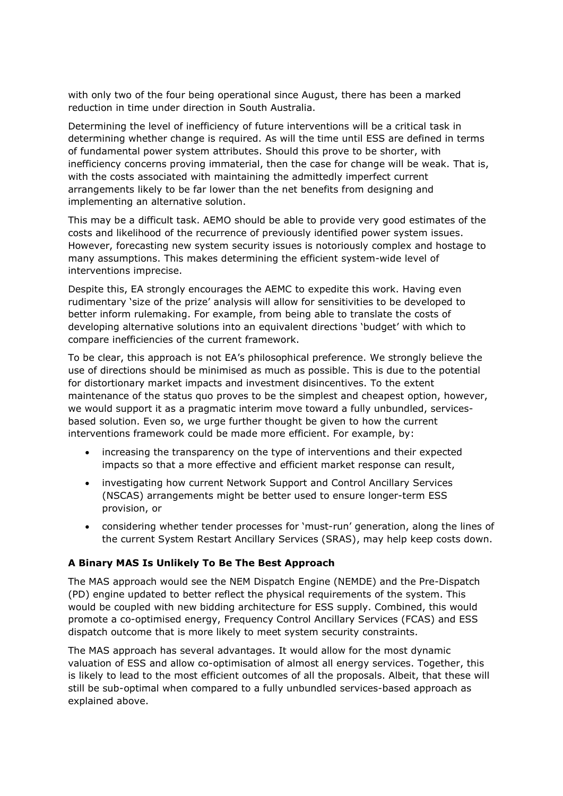with only two of the four being operational since August, there has been a marked reduction in time under direction in South Australia.

Determining the level of inefficiency of future interventions will be a critical task in determining whether change is required. As will the time until ESS are defined in terms of fundamental power system attributes. Should this prove to be shorter, with inefficiency concerns proving immaterial, then the case for change will be weak. That is, with the costs associated with maintaining the admittedly imperfect current arrangements likely to be far lower than the net benefits from designing and implementing an alternative solution.

This may be a difficult task. AEMO should be able to provide very good estimates of the costs and likelihood of the recurrence of previously identified power system issues. However, forecasting new system security issues is notoriously complex and hostage to many assumptions. This makes determining the efficient system-wide level of interventions imprecise.

Despite this, EA strongly encourages the AEMC to expedite this work. Having even rudimentary 'size of the prize' analysis will allow for sensitivities to be developed to better inform rulemaking. For example, from being able to translate the costs of developing alternative solutions into an equivalent directions 'budget' with which to compare inefficiencies of the current framework.

To be clear, this approach is not EA's philosophical preference. We strongly believe the use of directions should be minimised as much as possible. This is due to the potential for distortionary market impacts and investment disincentives. To the extent maintenance of the status quo proves to be the simplest and cheapest option, however, we would support it as a pragmatic interim move toward a fully unbundled, servicesbased solution. Even so, we urge further thought be given to how the current interventions framework could be made more efficient. For example, by:

- increasing the transparency on the type of interventions and their expected impacts so that a more effective and efficient market response can result,
- investigating how current Network Support and Control Ancillary Services (NSCAS) arrangements might be better used to ensure longer-term ESS provision, or
- considering whether tender processes for 'must-run' generation, along the lines of the current System Restart Ancillary Services (SRAS), may help keep costs down.

### **A Binary MAS Is Unlikely To Be The Best Approach**

The MAS approach would see the NEM Dispatch Engine (NEMDE) and the Pre-Dispatch (PD) engine updated to better reflect the physical requirements of the system. This would be coupled with new bidding architecture for ESS supply. Combined, this would promote a co-optimised energy, Frequency Control Ancillary Services (FCAS) and ESS dispatch outcome that is more likely to meet system security constraints.

The MAS approach has several advantages. It would allow for the most dynamic valuation of ESS and allow co-optimisation of almost all energy services. Together, this is likely to lead to the most efficient outcomes of all the proposals. Albeit, that these will still be sub-optimal when compared to a fully unbundled services-based approach as explained above.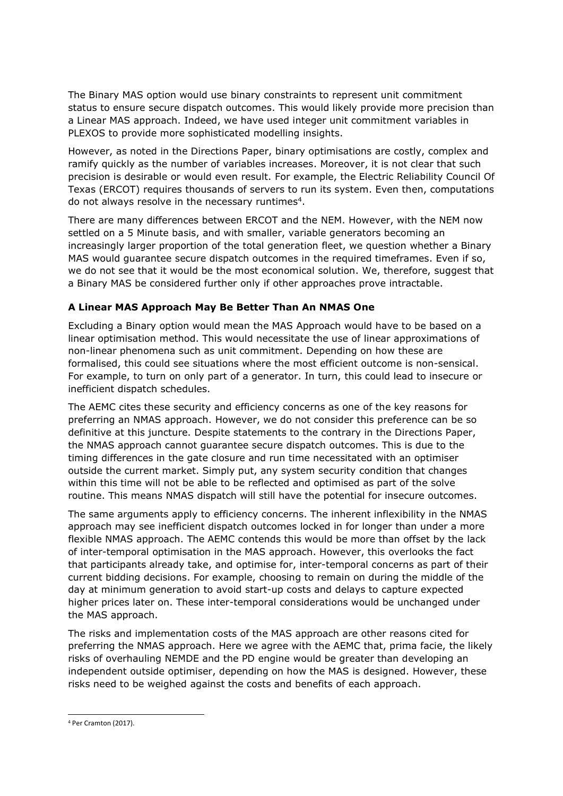The Binary MAS option would use binary constraints to represent unit commitment status to ensure secure dispatch outcomes. This would likely provide more precision than a Linear MAS approach. Indeed, we have used integer unit commitment variables in PLEXOS to provide more sophisticated modelling insights.

However, as noted in the Directions Paper, binary optimisations are costly, complex and ramify quickly as the number of variables increases. Moreover, it is not clear that such precision is desirable or would even result. For example, the Electric Reliability Council Of Texas (ERCOT) requires thousands of servers to run its system. Even then, computations do not always resolve in the necessary runtimes<sup>4</sup>.

There are many differences between ERCOT and the NEM. However, with the NEM now settled on a 5 Minute basis, and with smaller, variable generators becoming an increasingly larger proportion of the total generation fleet, we question whether a Binary MAS would guarantee secure dispatch outcomes in the required timeframes. Even if so, we do not see that it would be the most economical solution. We, therefore, suggest that a Binary MAS be considered further only if other approaches prove intractable.

# **A Linear MAS Approach May Be Better Than An NMAS One**

Excluding a Binary option would mean the MAS Approach would have to be based on a linear optimisation method. This would necessitate the use of linear approximations of non-linear phenomena such as unit commitment. Depending on how these are formalised, this could see situations where the most efficient outcome is non-sensical. For example, to turn on only part of a generator. In turn, this could lead to insecure or inefficient dispatch schedules.

The AEMC cites these security and efficiency concerns as one of the key reasons for preferring an NMAS approach. However, we do not consider this preference can be so definitive at this juncture. Despite statements to the contrary in the Directions Paper, the NMAS approach cannot guarantee secure dispatch outcomes. This is due to the timing differences in the gate closure and run time necessitated with an optimiser outside the current market. Simply put, any system security condition that changes within this time will not be able to be reflected and optimised as part of the solve routine. This means NMAS dispatch will still have the potential for insecure outcomes.

The same arguments apply to efficiency concerns. The inherent inflexibility in the NMAS approach may see inefficient dispatch outcomes locked in for longer than under a more flexible NMAS approach. The AEMC contends this would be more than offset by the lack of inter-temporal optimisation in the MAS approach. However, this overlooks the fact that participants already take, and optimise for, inter-temporal concerns as part of their current bidding decisions. For example, choosing to remain on during the middle of the day at minimum generation to avoid start-up costs and delays to capture expected higher prices later on. These inter-temporal considerations would be unchanged under the MAS approach.

The risks and implementation costs of the MAS approach are other reasons cited for preferring the NMAS approach. Here we agree with the AEMC that, prima facie, the likely risks of overhauling NEMDE and the PD engine would be greater than developing an independent outside optimiser, depending on how the MAS is designed. However, these risks need to be weighed against the costs and benefits of each approach.

<sup>4</sup> Per Cramton (2017).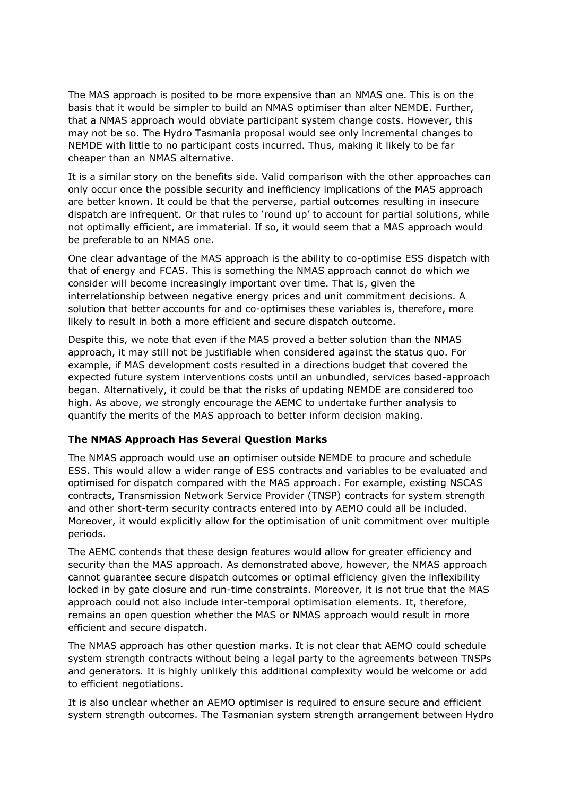The MAS approach is posited to be more expensive than an NMAS one. This is on the basis that it would be simpler to build an NMAS optimiser than alter NEMDE. Further, that a NMAS approach would obviate participant system change costs. However, this may not be so. The Hydro Tasmania proposal would see only incremental changes to NEMDE with little to no participant costs incurred. Thus, making it likely to be far cheaper than an NMAS alternative.

It is a similar story on the benefits side. Valid comparison with the other approaches can only occur once the possible security and inefficiency implications of the MAS approach are better known. It could be that the perverse, partial outcomes resulting in insecure dispatch are infrequent. Or that rules to 'round up' to account for partial solutions, while not optimally efficient, are immaterial. If so, it would seem that a MAS approach would be preferable to an NMAS one.

One clear advantage of the MAS approach is the ability to co-optimise ESS dispatch with that of energy and FCAS. This is something the NMAS approach cannot do which we consider will become increasingly important over time. That is, given the interrelationship between negative energy prices and unit commitment decisions. A solution that better accounts for and co-optimises these variables is, therefore, more likely to result in both a more efficient and secure dispatch outcome.

Despite this, we note that even if the MAS proved a better solution than the NMAS approach, it may still not be justifiable when considered against the status quo. For example, if MAS development costs resulted in a directions budget that covered the expected future system interventions costs until an unbundled, services based-approach began. Alternatively, it could be that the risks of updating NEMDE are considered too high. As above, we strongly encourage the AEMC to undertake further analysis to quantify the merits of the MAS approach to better inform decision making.

#### **The NMAS Approach Has Several Question Marks**

The NMAS approach would use an optimiser outside NEMDE to procure and schedule ESS. This would allow a wider range of ESS contracts and variables to be evaluated and optimised for dispatch compared with the MAS approach. For example, existing NSCAS contracts, Transmission Network Service Provider (TNSP) contracts for system strength and other short-term security contracts entered into by AEMO could all be included. Moreover, it would explicitly allow for the optimisation of unit commitment over multiple periods.

The AEMC contends that these design features would allow for greater efficiency and security than the MAS approach. As demonstrated above, however, the NMAS approach cannot guarantee secure dispatch outcomes or optimal efficiency given the inflexibility locked in by gate closure and run-time constraints. Moreover, it is not true that the MAS approach could not also include inter-temporal optimisation elements. It, therefore, remains an open question whether the MAS or NMAS approach would result in more efficient and secure dispatch.

The NMAS approach has other question marks. It is not clear that AEMO could schedule system strength contracts without being a legal party to the agreements between TNSPs and generators. It is highly unlikely this additional complexity would be welcome or add to efficient negotiations.

It is also unclear whether an AEMO optimiser is required to ensure secure and efficient system strength outcomes. The Tasmanian system strength arrangement between Hydro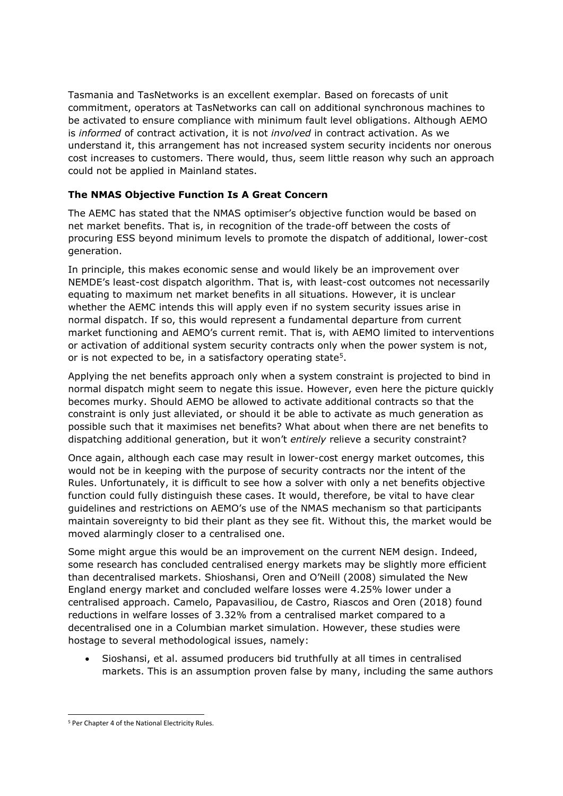Tasmania and TasNetworks is an excellent exemplar. Based on forecasts of unit commitment, operators at TasNetworks can call on additional synchronous machines to be activated to ensure compliance with minimum fault level obligations. Although AEMO is *informed* of contract activation, it is not *involved* in contract activation. As we understand it, this arrangement has not increased system security incidents nor onerous cost increases to customers. There would, thus, seem little reason why such an approach could not be applied in Mainland states.

# **The NMAS Objective Function Is A Great Concern**

The AEMC has stated that the NMAS optimiser's objective function would be based on net market benefits. That is, in recognition of the trade-off between the costs of procuring ESS beyond minimum levels to promote the dispatch of additional, lower-cost generation.

In principle, this makes economic sense and would likely be an improvement over NEMDE's least-cost dispatch algorithm. That is, with least-cost outcomes not necessarily equating to maximum net market benefits in all situations. However, it is unclear whether the AEMC intends this will apply even if no system security issues arise in normal dispatch. If so, this would represent a fundamental departure from current market functioning and AEMO's current remit. That is, with AEMO limited to interventions or activation of additional system security contracts only when the power system is not, or is not expected to be, in a satisfactory operating state<sup>5</sup>.

Applying the net benefits approach only when a system constraint is projected to bind in normal dispatch might seem to negate this issue. However, even here the picture quickly becomes murky. Should AEMO be allowed to activate additional contracts so that the constraint is only just alleviated, or should it be able to activate as much generation as possible such that it maximises net benefits? What about when there are net benefits to dispatching additional generation, but it won't *entirely* relieve a security constraint?

Once again, although each case may result in lower-cost energy market outcomes, this would not be in keeping with the purpose of security contracts nor the intent of the Rules. Unfortunately, it is difficult to see how a solver with only a net benefits objective function could fully distinguish these cases. It would, therefore, be vital to have clear guidelines and restrictions on AEMO's use of the NMAS mechanism so that participants maintain sovereignty to bid their plant as they see fit. Without this, the market would be moved alarmingly closer to a centralised one.

Some might argue this would be an improvement on the current NEM design. Indeed, some research has concluded centralised energy markets may be slightly more efficient than decentralised markets. Shioshansi, Oren and O'Neill (2008) simulated the New England energy market and concluded welfare losses were 4.25% lower under a centralised approach. Camelo, Papavasiliou, de Castro, Riascos and Oren (2018) found reductions in welfare losses of 3.32% from a centralised market compared to a decentralised one in a Columbian market simulation. However, these studies were hostage to several methodological issues, namely:

• Sioshansi, et al. assumed producers bid truthfully at all times in centralised markets. This is an assumption proven false by many, including the same authors

<sup>5</sup> Per Chapter 4 of the National Electricity Rules.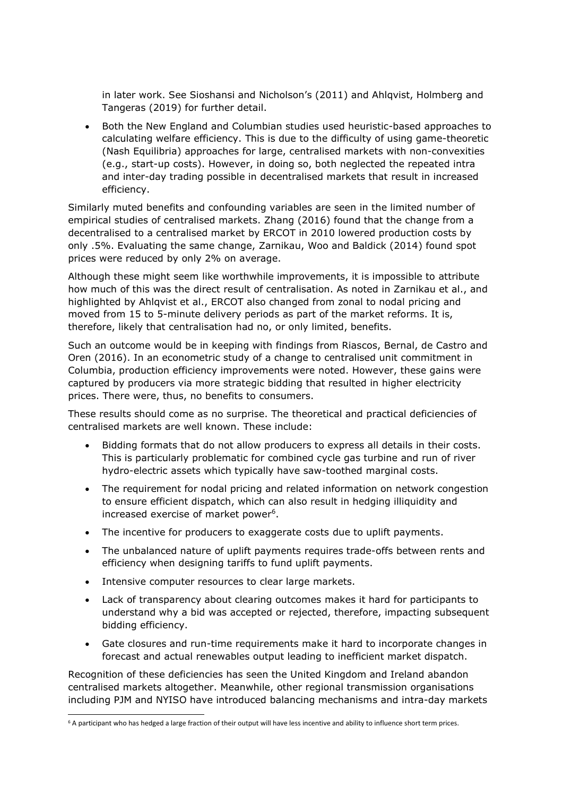in later work. See Sioshansi and Nicholson's (2011) and Ahlqvist, Holmberg and Tangeras (2019) for further detail.

• Both the New England and Columbian studies used heuristic-based approaches to calculating welfare efficiency. This is due to the difficulty of using game-theoretic (Nash Equilibria) approaches for large, centralised markets with non-convexities (e.g., start-up costs). However, in doing so, both neglected the repeated intra and inter-day trading possible in decentralised markets that result in increased efficiency.

Similarly muted benefits and confounding variables are seen in the limited number of empirical studies of centralised markets. Zhang (2016) found that the change from a decentralised to a centralised market by ERCOT in 2010 lowered production costs by only .5%. Evaluating the same change, Zarnikau, Woo and Baldick (2014) found spot prices were reduced by only 2% on average.

Although these might seem like worthwhile improvements, it is impossible to attribute how much of this was the direct result of centralisation. As noted in Zarnikau et al., and highlighted by Ahlqvist et al., ERCOT also changed from zonal to nodal pricing and moved from 15 to 5-minute delivery periods as part of the market reforms. It is, therefore, likely that centralisation had no, or only limited, benefits.

Such an outcome would be in keeping with findings from Riascos, Bernal, de Castro and Oren (2016). In an econometric study of a change to centralised unit commitment in Columbia, production efficiency improvements were noted. However, these gains were captured by producers via more strategic bidding that resulted in higher electricity prices. There were, thus, no benefits to consumers.

These results should come as no surprise. The theoretical and practical deficiencies of centralised markets are well known. These include:

- Bidding formats that do not allow producers to express all details in their costs. This is particularly problematic for combined cycle gas turbine and run of river hydro-electric assets which typically have saw-toothed marginal costs.
- The requirement for nodal pricing and related information on network congestion to ensure efficient dispatch, which can also result in hedging illiquidity and increased exercise of market power<sup>6</sup>.
- The incentive for producers to exaggerate costs due to uplift payments.
- The unbalanced nature of uplift payments requires trade-offs between rents and efficiency when designing tariffs to fund uplift payments.
- Intensive computer resources to clear large markets.
- Lack of transparency about clearing outcomes makes it hard for participants to understand why a bid was accepted or rejected, therefore, impacting subsequent bidding efficiency.
- Gate closures and run-time requirements make it hard to incorporate changes in forecast and actual renewables output leading to inefficient market dispatch.

Recognition of these deficiencies has seen the United Kingdom and Ireland abandon centralised markets altogether. Meanwhile, other regional transmission organisations including PJM and NYISO have introduced balancing mechanisms and intra-day markets

<sup>6</sup> A participant who has hedged a large fraction of their output will have less incentive and ability to influence short term prices.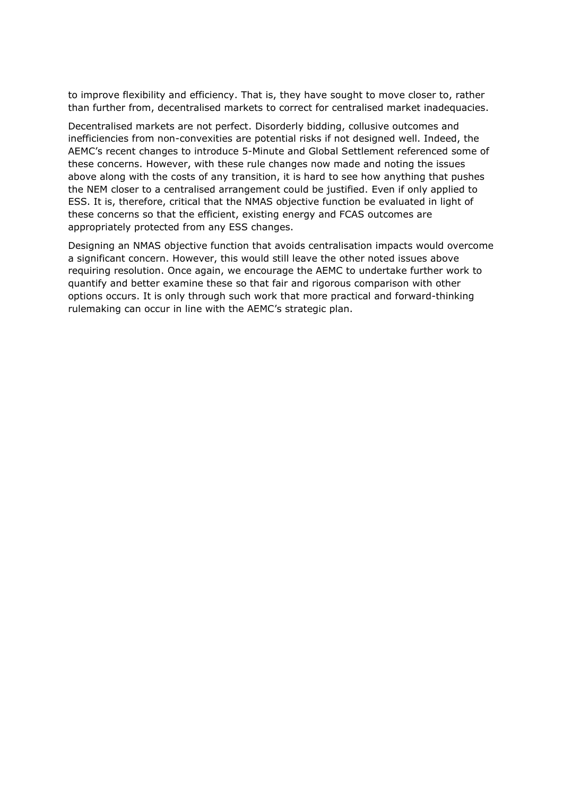to improve flexibility and efficiency. That is, they have sought to move closer to, rather than further from, decentralised markets to correct for centralised market inadequacies.

Decentralised markets are not perfect. Disorderly bidding, collusive outcomes and inefficiencies from non-convexities are potential risks if not designed well. Indeed, the AEMC's recent changes to introduce 5-Minute and Global Settlement referenced some of these concerns. However, with these rule changes now made and noting the issues above along with the costs of any transition, it is hard to see how anything that pushes the NEM closer to a centralised arrangement could be justified. Even if only applied to ESS. It is, therefore, critical that the NMAS objective function be evaluated in light of these concerns so that the efficient, existing energy and FCAS outcomes are appropriately protected from any ESS changes.

Designing an NMAS objective function that avoids centralisation impacts would overcome a significant concern. However, this would still leave the other noted issues above requiring resolution. Once again, we encourage the AEMC to undertake further work to quantify and better examine these so that fair and rigorous comparison with other options occurs. It is only through such work that more practical and forward-thinking rulemaking can occur in line with the AEMC's strategic plan.